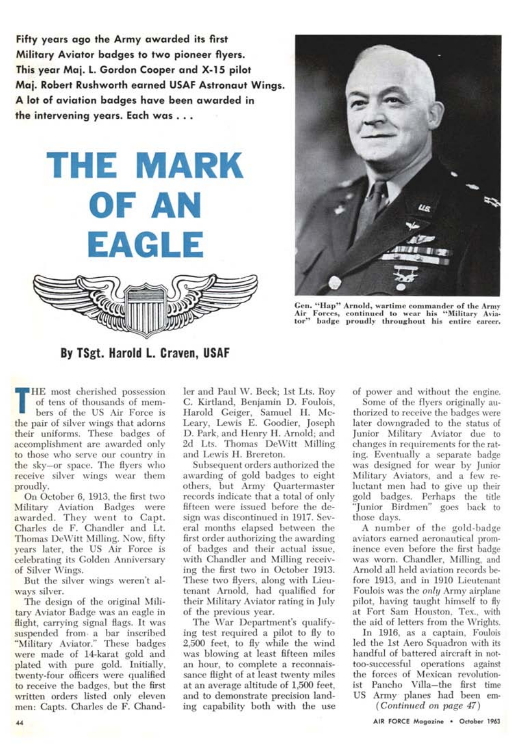**Fifty years ago the Army awarded its first Military Aviator badges to two pioneer flyers. This year Maj. L. Gordon Cooper and X-15 pilot Maj. Robert Rushworth earned USAF Astronaut Wings. A lot of aviation badges have been awarded in the intervening years. Each was .** 





**Gen. "Hap" Arnold, wartime commander of the Army Air Forces, continued to wear his "Military Aviator" badge proudly throughout his entire career.** 

**By TSgt. Harold L. Craven, USAF** 

**T HE** most cherished possession of tens of thousands of members of the US Air Force is the pair of silver wings that adorns their uniforms. These badges of accomplishment are awarded only to those who serve our country in the sky—or space. The flyers who receive silver wings wear them proudly.

On October 6, 1913, the first two Military Aviation Badges were awarded. They went to Capt. Charles de F. Chandler and Lt. Thomas DeWitt Milling. Now, fifty years later, the US Air Force is celebrating its Golden Anniversary of Silver Wings.

But the silver wings weren't always silver.

The design of the original Military Aviator Badge was an eagle in flight, carrying signal flags. It was suspended from a bar inscribed "Military Aviator." These badges were made of 14-karat gold and plated with pure gold. Initially, twenty-four officers were qualified to receive the badges, but the first written orders listed only eleven men: Capts. Charles de F. Chandler and Paul W. Beck; 1st Lts. Roy C. Kirtland, Benjamin D. Foulois, Harold Geiger, Samuel H. Mc-Leary, Lewis E. Goodier, Joseph D. Park, and Henry H. Arnold; and 2d Lts. Thomas DeWitt Milling and Lewis H. Brereton.

Subsequent orders authorized the awarding of gold badges to eight others, but Army Quartermaster records indicate that a total of only fifteen were issued before the design was discontinued in 1917. Several months elapsed between the first order authorizing the awarding of badges and their actual issue, with Chandler and Milling receiving the first two in October 1913. These two flyers, along with Lieutenant Arnold, had qualified for their Military Aviator rating in July of the previous year.

The War Department's qualifying test required a pilot to fly to 2,500 feet, to fly while the wind was blowing at least fifteen miles an hour, to complete a reconnaissance flight of at least twenty miles at an average altitude of 1,500 feet, and to demonstrate precision landing capability both with the use of power and without the engine.

Some of the flyers originally authorized to receive the badges were later downgraded to the status of Junior Military Aviator due to changes in requirements for the rating. Eventually a separate badge was designed for wear by Junior Military Aviators, and a few reluctant men had to give up their gold badges. Perhaps the title "Junior Birdmen" goes back to those days.

A number of the gold-badge aviators earned aeronautical prominence even before the first badge was worn. Chandler, Milling, and Arnold all held aviation records before 1913, and in 1910 Lieutenant Foulois was the *only* Army airplane pilot, having taught himself to fly at Fort Sam Houston, Tex., with the aid of letters from the Wrights.

In 1916, as a captain, Foulois led the 1st Aero Squadron with its handful of battered aircraft in nottoo-successful operations against the forces of Mexican revolutionist Pancho Villa—the first time US Army planes had been em-

*(Continued on page 47)* 

**44 AIR** FORCE Magazine • **October 1963**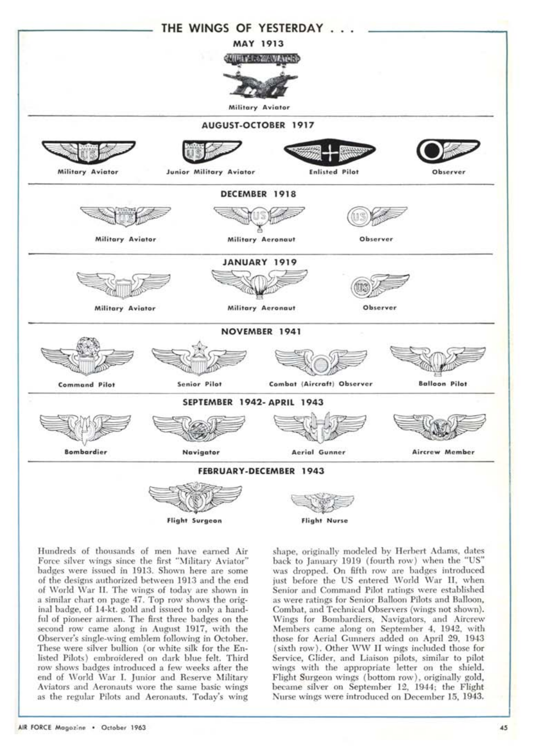

Hundreds of thousands of men have earned Air Force silver wings since the first "Military Aviator" badges were issued in 1913. Shown here are some of the designs authorized between 1913 and the end of World War II. The wings of today are shown in a similar chart on page 47. Top row shows the original badge, of 14-kt. gold and issued to only a handful of pioneer airmen. The first three badges on the second row came along in August 1917, with the Observer's single-wing emblem following in October. These were silver bullion (or white silk for the Enlisted Pilots) embroidered on dark blue felt. Third row shows badges introduced a few weeks after the end of World War I. Junior and Reserve Military Aviators and Aeronauts wore the same basic wings as the regular Pilots and Aeronauts. Today's wing

shape, originally modeled by Herbert Adams, dates back to January 1919 (fourth row) when the "US" was dropped. On fifth row are badges introduced just before the US entered World War II, when Senior and Command Pilot ratings were established as were ratings for Senior Balloon Pilots and Balloon, Combat, and Technical Observers (wings not shown). Wings for Bombardiers, Navigators, and Aircrew Members came along on September 4, 1942, with those for Aerial Gunners added on April 29, 1943 (sixth row). Other WW II wings included those for Service, Glider, and Liaison pilots, similar to pilot wings with the appropriate letter on the shield. Flight Surgeon wings (bottom row), originally gold, became silver on September 12, 1944; the Flight Nurse wings were introduced on December 15, 1943.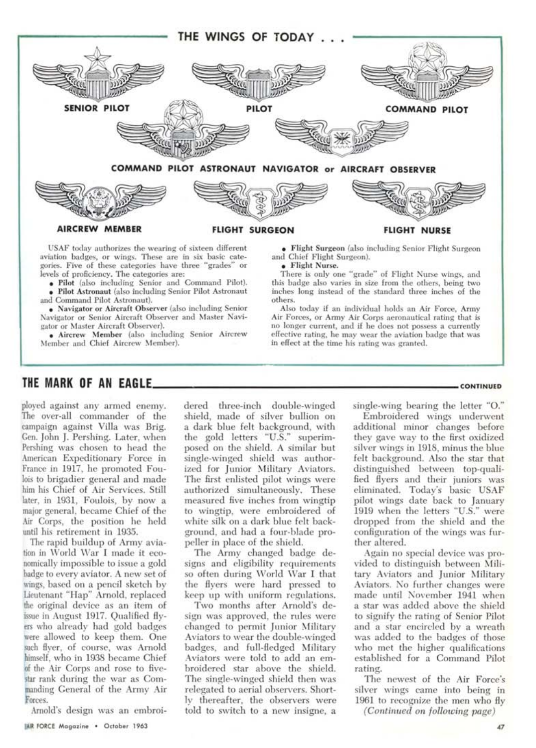

**• Flight Nurse.** 

others.

There is only one "grade" of Flight Nurse wings, and this badge also varies in size from the others, being two inches long instead of the standard three inches of the

Also today if an individual holds an Air Force, Army Air Forces, or Army Air Corps aeronautical rating that is no longer current, and if he does not possess a currently effective rating, he may wear the aviation badge that was

*in* effect at the time his rating was granted.

aviation badges, or wings. These are in six basic categories. Five of these categories have three "grades" or levels of proficiency. The categories are:

**• Pilot** (also including Senior and Command Pilot). **• Pilot Astronaut** (also including Senior Pilot Astronaut

and Command Pilot Astronaut). • Navigator **or Aircraft Observer** (also including Senior Navigator or Senior Aircraft Observer and Master Navigator or Master Aircraft Observer).

**• Aircrew Member** (also including Senior Aircrew Member and Chief Aircrew Member).

## **THE MARK OF AN EAGLE** *CONTINUED*

ployed against any armed enemy. The over-all commander of the campaign against Villa was Brig. Gen. John J. Pershing. Later, when Pershing was chosen to head the American Expeditionary Force in France in 1917, he promoted Foulois to brigadier general and made him his Chief of Air Services. Still later, in 1931, Foulois, by now a major general, became Chief of the Air Corps, the position he held until his retirement in 1935.

The rapid buildup of Army aviation in World War I made it economically impossible to issue a gold badge to every aviator. A new set of wings, based on a pencil sketch by Lieutenant "Hap" Arnold, replaced the original device as an item of issue in August 1917. Qualified flyers who already had gold badges were allowed to keep them. One such flyer, of course, was Arnold himself, who in 1938 became Chief of the Air Corps and rose to fivestar rank during the war as Commanding General of the Army Air Forces.

Arnold's design was an embroi-

dered three-inch double-winged shield, made of silver bullion on a dark blue felt background, with the gold letters "U.S." superimposed on the shield. A similar but single-winged shield was authorized for Junior Military Aviators. The first enlisted pilot wings were authorized simultaneously. These measured five inches from wingtip to wingtip, were embroidered of white silk on a dark blue felt background, and had a four-blade propeller in place of the shield.

The Army changed badge designs and eligibility requirements so often during World War I that the flyers were hard pressed to keep up with uniform regulations.

Two months after Arnold's design was approved, the rules were changed to permit Junior Military Aviators to wear the double-winged badges, and full-fledged Military Aviators were told to add an embroidered star above the shield. The single-winged shield then was relegated to aerial observers. Shortly thereafter, the observers were told to switch to a new insigne, a

single-wing bearing the letter "0."

Embroidered wings underwent additional minor changes before they gave way to the first oxidized silver wings in 1918, minus the blue felt background. Also the star that distinguished between top-qualified flyers and their juniors was eliminated. Today's basic USAF pilot wings date back to January 1919 when the letters "U.S." were dropped from the shield and the configuration of the wings was further altered.

Again no special device was provided to distinguish between Military Aviators and Junior Military Aviators. No further changes were made until November 1941 when a star was added above the shield to signify the rating of Senior Pilot and a star encircled by a wreath was added to the badges of those who met the higher qualifications established for a Command Pilot rating.

The newest of the Air Force's silver wings came into being in 1961 to recognize the men who fly *(Continued on following page)* 

**LAIR FORCE** Magazine • October 1963 **47**